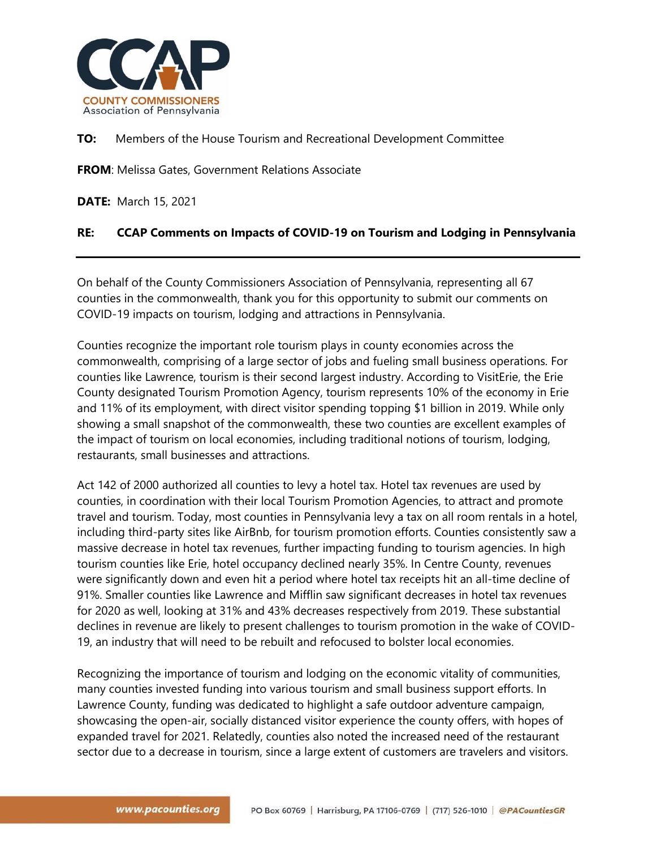

**TO:** Members of the House Tourism and Recreational Development Committee

**FROM**: Melissa Gates, Government Relations Associate

**DATE:** March 15, 2021

## **RE: CCAP Comments on Impacts of COVID-19 on Tourism and Lodging in Pennsylvania**

On behalf of the County Commissioners Association of Pennsylvania, representing all 67 counties in the commonwealth, thank you for this opportunity to submit our comments on COVID-19 impacts on tourism, lodging and attractions in Pennsylvania.

Counties recognize the important role tourism plays in county economies across the commonwealth, comprising of a large sector of jobs and fueling small business operations. For counties like Lawrence, tourism is their second largest industry. According to VisitErie, the Erie County designated Tourism Promotion Agency, tourism represents 10% of the economy in Erie and 11% of its employment, with direct visitor spending topping \$1 billion in 2019. While only showing a small snapshot of the commonwealth, these two counties are excellent examples of the impact of tourism on local economies, including traditional notions of tourism, lodging, restaurants, small businesses and attractions.

Act 142 of 2000 authorized all counties to levy a hotel tax. Hotel tax revenues are used by counties, in coordination with their local Tourism Promotion Agencies, to attract and promote travel and tourism. Today, most counties in Pennsylvania levy a tax on all room rentals in a hotel, including third-party sites like AirBnb, for tourism promotion efforts. Counties consistently saw a massive decrease in hotel tax revenues, further impacting funding to tourism agencies. In high tourism counties like Erie, hotel occupancy declined nearly 35%. In Centre County, revenues were significantly down and even hit a period where hotel tax receipts hit an all-time decline of 91%. Smaller counties like Lawrence and Mifflin saw significant decreases in hotel tax revenues for 2020 as well, looking at 31% and 43% decreases respectively from 2019. These substantial declines in revenue are likely to present challenges to tourism promotion in the wake of COVID-19, an industry that will need to be rebuilt and refocused to bolster local economies.

Recognizing the importance of tourism and lodging on the economic vitality of communities, many counties invested funding into various tourism and small business support efforts. In Lawrence County, funding was dedicated to highlight a safe outdoor adventure campaign, showcasing the open-air, socially distanced visitor experience the county offers, with hopes of expanded travel for 2021. Relatedly, counties also noted the increased need of the restaurant sector due to a decrease in tourism, since a large extent of customers are travelers and visitors.